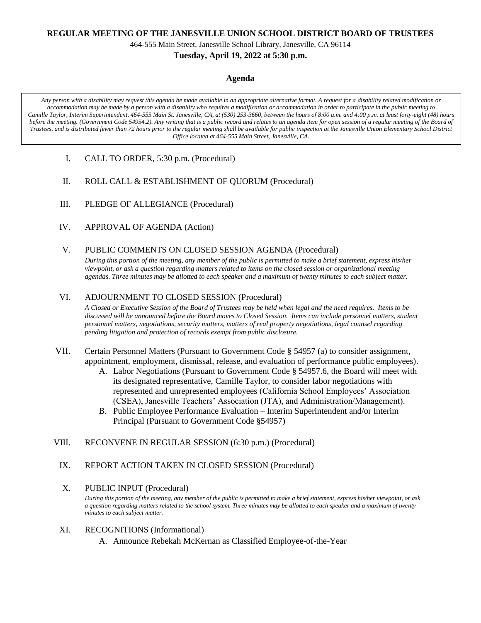### **REGULAR MEETING OF THE JANESVILLE UNION SCHOOL DISTRICT BOARD OF TRUSTEES**

464-555 Main Street, Janesville School Library, Janesville, CA 96114

## **Tuesday, April 19, 2022 at 5:30 p.m.**

#### **Agenda**

*Any person with a disability may request this agenda be made available in an appropriate alternative format. A request for a disability related modification or accommodation may be made by a person with a disability who requires a modification or accommodation in order to participate in the public meeting to Camille Taylor, Interim Superintendent, 464-555 Main St. Janesville, CA, at (530) 253-3660, between the hours of 8:00 a.m. and 4:00 p.m. at least forty-eight (48) hours before the meeting. (Government Code 54954.2). Any writing that is a public record and relates to an agenda item for open session of a regular meeting of the Board of Trustees, and is distributed fewer than 72 hours prior to the regular meeting shall be available for public inspection at the Janesville Union Elementary School District Office located at 464-555 Main Street, Janesville, CA.*

- I. CALL TO ORDER, 5:30 p.m. (Procedural)
- II. ROLL CALL & ESTABLISHMENT OF QUORUM (Procedural)
- III. PLEDGE OF ALLEGIANCE (Procedural)
- IV. APPROVAL OF AGENDA (Action)
- V. PUBLIC COMMENTS ON CLOSED SESSION AGENDA (Procedural)

*During this portion of the meeting, any member of the public is permitted to make a brief statement, express his/her viewpoint, or ask a question regarding matters related to items on the closed session or organizational meeting agendas. Three minutes may be allotted to each speaker and a maximum of twenty minutes to each subject matter.*

## VI. ADJOURNMENT TO CLOSED SESSION (Procedural)

*A Closed or Executive Session of the Board of Trustees may be held when legal and the need requires. Items to be discussed will be announced before the Board moves to Closed Session. Items can include personnel matters, student personnel matters, negotiations, security matters, matters of real property negotiations, legal counsel regarding pending litigation and protection of records exempt from public disclosure.*

- VII. Certain Personnel Matters (Pursuant to Government Code **§** 54957 (a) to consider assignment, appointment, employment, dismissal, release, and evaluation of performance public employees).
	- A. Labor Negotiations (Pursuant to Government Code **§** 54957.6, the Board will meet with its designated representative, Camille Taylor, to consider labor negotiations with represented and unrepresented employees (California School Employees' Association (CSEA), Janesville Teachers' Association (JTA), and Administration/Management).
	- B. Public Employee Performance Evaluation Interim Superintendent and/or Interim Principal (Pursuant to Government Code **§**54957)
- VIII. RECONVENE IN REGULAR SESSION (6:30 p.m.) (Procedural)
	- IX. REPORT ACTION TAKEN IN CLOSED SESSION (Procedural)

#### X. PUBLIC INPUT (Procedural)

*During this portion of the meeting, any member of the public is permitted to make a brief statement, express his/her viewpoint, or ask a question regarding matters related to the school system. Three minutes may be allotted to each speaker and a maximum of twenty minutes to each subject matter.*

# XI. RECOGNITIONS (Informational)

A. Announce Rebekah McKernan as Classified Employee-of-the-Year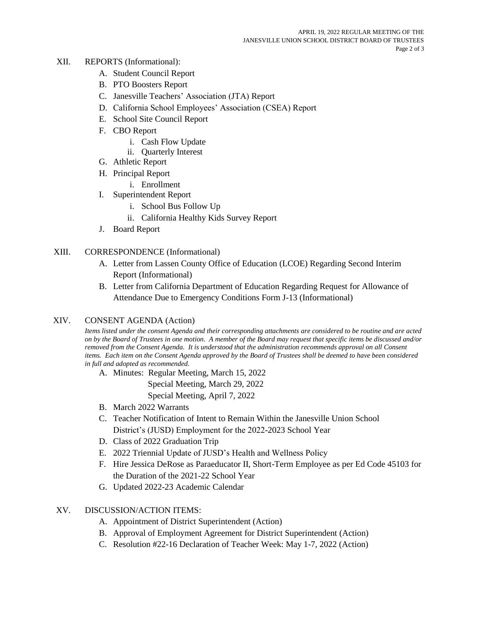- XII. REPORTS (Informational):
	- A. Student Council Report
	- B. PTO Boosters Report
	- C. Janesville Teachers' Association (JTA) Report
	- D. California School Employees' Association (CSEA) Report
	- E. School Site Council Report
	- F. CBO Report
		- i. Cash Flow Update
		- ii. Quarterly Interest
	- G. Athletic Report
	- H. Principal Report
		- i. Enrollment
	- I. Superintendent Report
		- i. School Bus Follow Up
		- ii. California Healthy Kids Survey Report
	- J. Board Report

## XIII. CORRESPONDENCE (Informational)

- A. Letter from Lassen County Office of Education (LCOE) Regarding Second Interim Report (Informational)
- B. Letter from California Department of Education Regarding Request for Allowance of Attendance Due to Emergency Conditions Form J-13 (Informational)

## XIV. CONSENT AGENDA (Action)

*Items listed under the consent Agenda and their corresponding attachments are considered to be routine and are acted on by the Board of Trustees in one motion. A member of the Board may request that specific items be discussed and/or removed from the Consent Agenda. It is understood that the administration recommends approval on all Consent*  items. Each item on the Consent Agenda approved by the Board of Trustees shall be deemed to have been considered *in full and adopted as recommended.*

- A. Minutes: Regular Meeting, March 15, 2022 Special Meeting, March 29, 2022 Special Meeting, April 7, 2022
- B. March 2022 Warrants
- C. Teacher Notification of Intent to Remain Within the Janesville Union School District's (JUSD) Employment for the 2022-2023 School Year
- D. Class of 2022 Graduation Trip
- E. 2022 Triennial Update of JUSD's Health and Wellness Policy
- F. Hire Jessica DeRose as Paraeducator II, Short-Term Employee as per Ed Code 45103 for the Duration of the 2021-22 School Year
- G. Updated 2022-23 Academic Calendar

# XV. DISCUSSION/ACTION ITEMS:

- A. Appointment of District Superintendent (Action)
- B. Approval of Employment Agreement for District Superintendent (Action)
- C. Resolution #22-16 Declaration of Teacher Week: May 1-7, 2022 (Action)